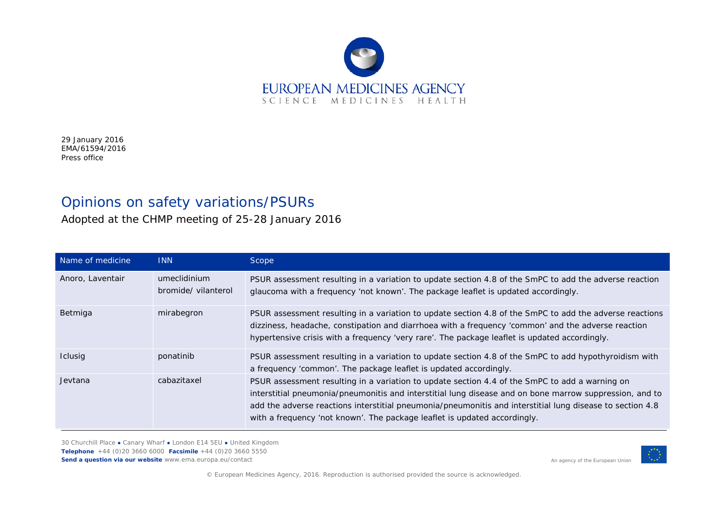

29 January 2016 EMA/61594/2016 Press office

## Opinions on safety variations/PSURs

Adopted at the CHMP meeting of 25-28 January 2016

| Name of medicine | <b>INN</b>                          | Scope                                                                                                                                                                                                                                                                                                                                                                                               |
|------------------|-------------------------------------|-----------------------------------------------------------------------------------------------------------------------------------------------------------------------------------------------------------------------------------------------------------------------------------------------------------------------------------------------------------------------------------------------------|
| Anoro, Laventair | umeclidinium<br>bromide/ vilanterol | PSUR assessment resulting in a variation to update section 4.8 of the SmPC to add the adverse reaction<br>glaucoma with a frequency 'not known'. The package leaflet is updated accordingly.                                                                                                                                                                                                        |
| Betmiga          | mirabegron                          | PSUR assessment resulting in a variation to update section 4.8 of the SmPC to add the adverse reactions<br>dizziness, headache, constipation and diarrhoea with a frequency 'common' and the adverse reaction<br>hypertensive crisis with a frequency 'very rare'. The package leaflet is updated accordingly.                                                                                      |
| <b>Iclusig</b>   | ponatinib                           | PSUR assessment resulting in a variation to update section 4.8 of the SmPC to add hypothyroidism with<br>a frequency 'common'. The package leaflet is updated accordingly.                                                                                                                                                                                                                          |
| Jevtana          | cabazitaxel                         | PSUR assessment resulting in a variation to update section 4.4 of the SmPC to add a warning on<br>interstitial pneumonia/pneumonitis and interstitial lung disease and on bone marrow suppression, and to<br>add the adverse reactions interstitial pneumonia/pneumonitis and interstitial lung disease to section 4.8<br>with a frequency 'not known'. The package leaflet is updated accordingly. |

30 Churchill Place **●** Canary Wharf **●** London E14 5EU **●** United Kingdom **Telephone** +44 (0)20 3660 6000 **Facsimile** +44 (0)20 3660 5550 **Send a question via our website** www.ema.europa.eu/contact



© European Medicines Agency, 2016. Reproduction is authorised provided the source is acknowledged.